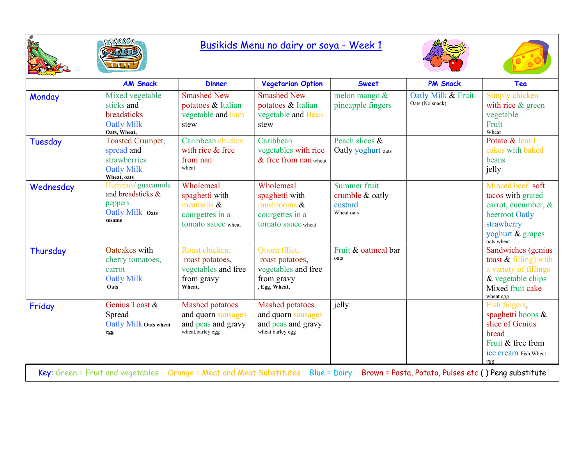



## Busikids Menu no dairy or soya - Week 1





|                                                                                                                                                        | <b>AM Snack</b>                                                                           | <b>Dinner</b>                                                                           | <b>Vegetarian Option</b>                                                               | <b>Sweet</b>                                             | <b>PM Snack</b>                       | Tea                                                                                                                            |  |
|--------------------------------------------------------------------------------------------------------------------------------------------------------|-------------------------------------------------------------------------------------------|-----------------------------------------------------------------------------------------|----------------------------------------------------------------------------------------|----------------------------------------------------------|---------------------------------------|--------------------------------------------------------------------------------------------------------------------------------|--|
| Monday                                                                                                                                                 | Mixed vegetable<br>sticks and<br>breadsticks<br><b>Oatly Milk</b><br>Oats, Wheat,         | <b>Smashed New</b><br>potatoes & Italian<br>vegetable and ham<br>stew                   | <b>Smashed New</b><br>potatoes & Italian<br>vegetable and Bean<br>stew                 | melon mango &<br>pineapple fingers                       | Oatly Milk & Fruit<br>Oats (No snack) | Simply chicken<br>with rice & green<br>vegetable<br>Fruit<br>Wheat                                                             |  |
| Tuesday                                                                                                                                                | <b>Toasted Crumpet,</b><br>spread and<br>strawberries<br><b>Oatly Milk</b><br>Wheat, oats | Caribbean chicken<br>with rice & free<br>from nan<br>wheat                              | Caribbean<br>vegetables with rice<br>& free from nan wheat                             | Peach slices &<br>Oatly yoghurt oats                     |                                       | Potato & lentil<br>cakes with baked<br>beans<br>jelly                                                                          |  |
| Wednesday                                                                                                                                              | Hummus/ guacamole<br>and breadsticks &<br>peppers<br>Oatly Milk Oats<br>sesame            | Wholemeal<br>spaghetti with<br>meatballs $\&$<br>courgettes in a<br>tomato sauce wheat  | Wholemeal<br>spaghetti with<br>mushrooms &<br>courgettes in a<br>tomato sauce wheat    | Summer fruit<br>crumble & oatly<br>custard<br>Wheat oats |                                       | Minced beef soft<br>tacos with grated<br>carrot, cucumber, &<br>beetroot Oatly<br>strawberry<br>yoghurt & grapes<br>oats wheat |  |
| Thursday                                                                                                                                               | Oatcakes with<br>cherry tomatoes,<br>carrot<br><b>Oatly Milk</b><br>Oats                  | Roast chicken,<br>roast potatoes,<br>vegetables and free<br>from gravy<br>Wheat,        | Quorn fillet,<br>roast potatoes,<br>vegetables and free<br>from gravy<br>, Egg, Wheat, | Fruit & oatmeal bar<br>oats                              |                                       | Sandwiches (genius<br>toast $&$ filling) with<br>a variety of fillings<br>& vegetable chips<br>Mixed fruit cake<br>wheat egg   |  |
| Friday                                                                                                                                                 | Genius Toast &<br>Spread<br>Oatly Milk Oats wheat<br>egg                                  | <b>Mashed potatoes</b><br>and quorn sausages<br>and peas and gravy<br>wheat, barley egg | <b>Mashed potatoes</b><br>and quorn sausages<br>and peas and gravy<br>wheat barley egg | jelly                                                    |                                       | Fish fingers,<br>spaghetti hoops &<br>slice of Genius<br>bread<br>Fruit & free from<br>ice cream Fish Wheat<br>egg             |  |
| Key: Green = Fruit and vegetables<br>Orange = Meat and Meat Substitutes<br><b>Blue = Dairy</b><br>Brown = Pasta, Potato, Pulses etc () Peng substitute |                                                                                           |                                                                                         |                                                                                        |                                                          |                                       |                                                                                                                                |  |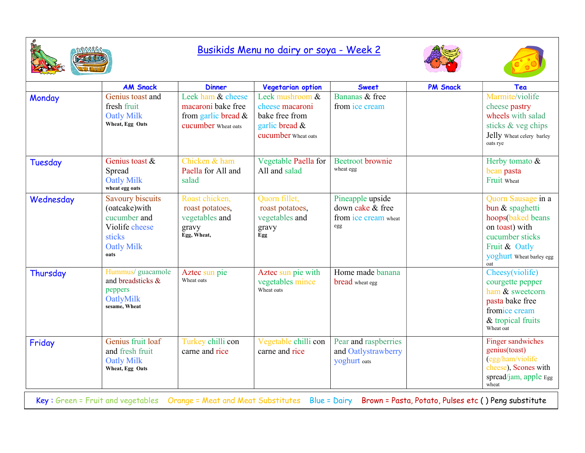

## Busikids Menu no dairy or soya - Week 2





|           | <b>AM Snack</b>                                                                                                   | <b>Dinner</b>                                                                         | Vegetarian option                                                                             | <b>Sweet</b>                                                        | <b>PM Snack</b> | Tea                                                                                                                                                 |
|-----------|-------------------------------------------------------------------------------------------------------------------|---------------------------------------------------------------------------------------|-----------------------------------------------------------------------------------------------|---------------------------------------------------------------------|-----------------|-----------------------------------------------------------------------------------------------------------------------------------------------------|
| Monday    | Genius toast and<br>fresh fruit<br><b>Oatly Milk</b><br>Wheat, Egg Oats                                           | Leek ham & cheese<br>macaroni bake free<br>from garlic bread &<br>cucumber Wheat oats | Leek mushroom &<br>cheese macaroni<br>bake free from<br>garlic bread &<br>cucumber Wheat oats | Bananas & free<br>from ice cream                                    |                 | Marmite/violife<br>cheese pastry<br>wheels with salad<br>sticks & veg chips<br>Jelly Wheat celery barley<br>oats rye                                |
| Tuesday   | Genius toast $\&$<br>Spread<br><b>Oatly Milk</b><br>wheat egg oats                                                | Chicken & ham<br>Paella for All and<br>salad                                          | Vegetable Paella for<br>All and salad                                                         | <b>Beetroot</b> brownie<br>wheat egg                                |                 | Herby tomato &<br>bean pasta<br>Fruit Wheat                                                                                                         |
| Wednesday | <b>Savoury biscuits</b><br>(oatcake)with<br>cucumber and<br>Violife cheese<br>sticks<br><b>Oatly Milk</b><br>oats | Roast chicken,<br>roast potatoes,<br>vegetables and<br>gravy<br>Egg, Wheat,           | Quorn fillet,<br>roast potatoes,<br>vegetables and<br>gravy<br>Egg                            | Pineapple upside<br>down cake & free<br>from ice cream wheat<br>egg |                 | Quorn Sausage in a<br>bun & spaghetti<br>hoops(baked beans<br>on toast) with<br>cucumber sticks<br>Fruit & Oatly<br>yoghurt Wheat barley egg<br>oat |
| Thursday  | Hummus/ guacamole<br>and breadsticks &<br>peppers<br>OatlyMilk<br>sesame, Wheat                                   | Aztec sun pie<br>Wheat oats                                                           | Aztec sun pie with<br>vegetables mince<br>Wheat oats                                          | Home made banana<br><b>bread</b> wheat egg                          |                 | Cheesy(violife)<br>courgette pepper<br>ham & sweetcorn<br>pasta bake free<br>fromice cream<br>& tropical fruits<br>Wheat oat                        |
| Friday    | Genius fruit loaf<br>and fresh fruit<br><b>Oatly Milk</b><br>Wheat, Egg Oats                                      | Turkey chilli con<br>carne and rice                                                   | Vegetable chilli con<br>carne and rice                                                        | Pear and raspberries<br>and Oatlystrawberry<br>yoghurt oats         |                 | Finger sandwiches<br>genius(toast)<br>(egg/ham/violife<br>cheese), Scones with<br>spread/jam, apple $Egg$<br>wheat                                  |

Key : Green = Fruit and vegetables Orange = Meat and Meat Substitutes Blue = Dairy Brown = Pasta, Potato, Pulses etc ( ) Peng substitute